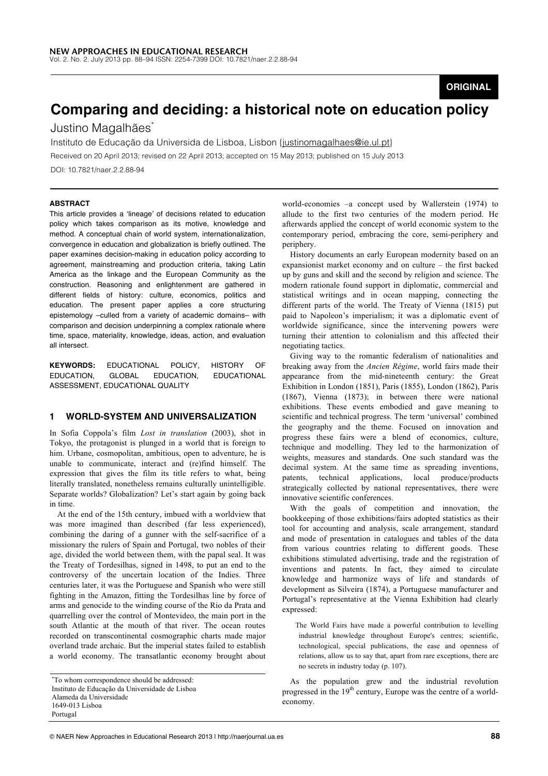# **ORIGINAL**

# **Comparing and deciding: a historical note on education policy**

# Justino Magalhães<sup>\*</sup>

Instituto de Educação da Universida de Lisboa, Lisbon {justinomagalhaes@ie.ul.pt}

Received on 20 April 2013; revised on 22 April 2013; accepted on 15 May 2013; published on 15 July 2013 DOI: 10.7821/naer.2.2.88-94

#### **ABSTRACT**

This article provides a ʻlineage' of decisions related to education policy which takes comparison as its motive, knowledge and method. A conceptual chain of world system, internationalization, convergence in education and globalization is briefly outlined. The paper examines decision-making in education policy according to agreement, mainstreaming and production criteria, taking Latin America as the linkage and the European Community as the construction. Reasoning and enlightenment are gathered in different fields of history: culture, economics, politics and education. The present paper applies a core structuring epistemology –culled from a variety of academic domains– with comparison and decision underpinning a complex rationale where time, space, materiality, knowledge, ideas, action, and evaluation all intersect.

**KEYWORDS:** EDUCATIONAL POLICY, HISTORY OF EDUCATION, GLOBAL EDUCATION, EDUCATIONAL ASSESSMENT, EDUCATIONAL QUALITY

#### **1 WORLD-SYSTEM AND UNIVERSALIZATION**

In Sofia Coppola's film *Lost in translation* (2003), shot in Tokyo, the protagonist is plunged in a world that is foreign to him. Urbane, cosmopolitan, ambitious, open to adventure, he is unable to communicate, interact and (re)find himself. The expression that gives the film its title refers to what, being literally translated, nonetheless remains culturally unintelligible. Separate worlds? Globalization? Let's start again by going back in time.

At the end of the 15th century, imbued with a worldview that was more imagined than described (far less experienced), combining the daring of a gunner with the self-sacrifice of a missionary the rulers of Spain and Portugal, two nobles of their age, divided the world between them, with the papal seal. It was the Treaty of Tordesilhas, signed in 1498, to put an end to the controversy of the uncertain location of the Indies. Three centuries later, it was the Portuguese and Spanish who were still fighting in the Amazon, fitting the Tordesilhas line by force of arms and genocide to the winding course of the Rio da Prata and quarrelling over the control of Montevideo, the main port in the south Atlantic at the mouth of that river. The ocean routes recorded on transcontinental cosmographic charts made major overland trade archaic. But the imperial states failed to establish a world economy. The transatlantic economy brought about

Alameda da Universidade

1649-013 Lisboa

Portugal

world-economies –a concept used by Wallerstein (1974) to allude to the first two centuries of the modern period. He afterwards applied the concept of world economic system to the contemporary period, embracing the core, semi-periphery and periphery.

History documents an early European modernity based on an expansionist market economy and on culture – the first backed up by guns and skill and the second by religion and science. The modern rationale found support in diplomatic, commercial and statistical writings and in ocean mapping, connecting the different parts of the world. The Treaty of Vienna (1815) put paid to Napoleon's imperialism; it was a diplomatic event of worldwide significance, since the intervening powers were turning their attention to colonialism and this affected their negotiating tactics.

Giving way to the romantic federalism of nationalities and breaking away from the *Ancien Régime*, world fairs made their appearance from the mid-nineteenth century: the Great Exhibition in London (1851), Paris (1855), London (1862), Paris (1867), Vienna (1873); in between there were national exhibitions. These events embodied and gave meaning to scientific and technical progress. The term 'universal' combined the geography and the theme. Focused on innovation and progress these fairs were a blend of economics, culture, technique and modelling. They led to the harmonization of weights, measures and standards. One such standard was the decimal system. At the same time as spreading inventions, patents, technical applications, local produce/products strategically collected by national representatives, there were innovative scientific conferences.

With the goals of competition and innovation, the bookkeeping of those exhibitions/fairs adopted statistics as their tool for accounting and analysis, scale arrangement, standard and mode of presentation in catalogues and tables of the data from various countries relating to different goods. These exhibitions stimulated advertising, trade and the registration of inventions and patents. In fact, they aimed to circulate knowledge and harmonize ways of life and standards of development as Silveira (1874), a Portuguese manufacturer and Portugal's representative at the Vienna Exhibition had clearly expressed:

The World Fairs have made a powerful contribution to levelling industrial knowledge throughout Europe's centres; scientific, technological, special publications, the ease and openness of relations, allow us to say that, apart from rare exceptions, there are no secrets in industry today (p. 107).

As the population grew and the industrial revolution progressed in the  $19<sup>th</sup>$  century, Europe was the centre of a worldeconomy.

<sup>\*</sup>To whom correspondence should be addressed: Instituto de Educação da Universidade de Lisboa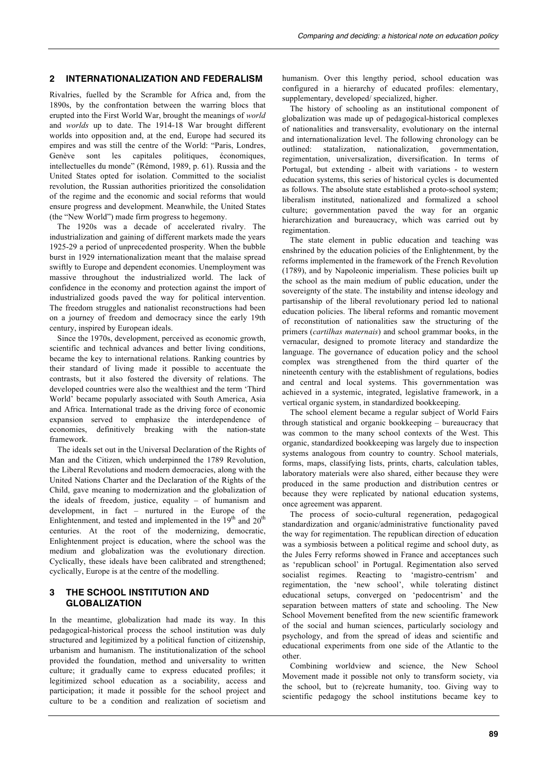# **2 INTERNATIONALIZATION AND FEDERALISM**

Rivalries, fuelled by the Scramble for Africa and, from the 1890s, by the confrontation between the warring blocs that erupted into the First World War, brought the meanings of *world* and *worlds* up to date. The 1914-18 War brought different worlds into opposition and, at the end, Europe had secured its empires and was still the centre of the World: "Paris, Londres, Genève sont les capitales politiques, économiques, intellectuelles du monde" (Rémond, 1989, p. 61). Russia and the United States opted for isolation. Committed to the socialist revolution, the Russian authorities prioritized the consolidation of the regime and the economic and social reforms that would ensure progress and development. Meanwhile, the United States (the "New World") made firm progress to hegemony.

The 1920s was a decade of accelerated rivalry. The industrialization and gaining of different markets made the years 1925-29 a period of unprecedented prosperity. When the bubble burst in 1929 internationalization meant that the malaise spread swiftly to Europe and dependent economies. Unemployment was massive throughout the industrialized world. The lack of confidence in the economy and protection against the import of industrialized goods paved the way for political intervention. The freedom struggles and nationalist reconstructions had been on a journey of freedom and democracy since the early 19th century, inspired by European ideals.

Since the 1970s, development, perceived as economic growth, scientific and technical advances and better living conditions, became the key to international relations. Ranking countries by their standard of living made it possible to accentuate the contrasts, but it also fostered the diversity of relations. The developed countries were also the wealthiest and the term 'Third World' became popularly associated with South America, Asia and Africa. International trade as the driving force of economic expansion served to emphasize the interdependence of economies, definitively breaking with the nation-state framework.

The ideals set out in the Universal Declaration of the Rights of Man and the Citizen, which underpinned the 1789 Revolution, the Liberal Revolutions and modern democracies, along with the United Nations Charter and the Declaration of the Rights of the Child, gave meaning to modernization and the globalization of the ideals of freedom, justice, equality – of humanism and development, in fact – nurtured in the Europe of the Enlightenment, and tested and implemented in the  $19<sup>th</sup>$  and  $20<sup>th</sup>$ centuries. At the root of the modernizing, democratic, Enlightenment project is education, where the school was the medium and globalization was the evolutionary direction. Cyclically, these ideals have been calibrated and strengthened; cyclically, Europe is at the centre of the modelling.

### **3 THE SCHOOL INSTITUTION AND GLOBALIZATION**

In the meantime, globalization had made its way. In this pedagogical-historical process the school institution was duly structured and legitimized by a political function of citizenship, urbanism and humanism. The institutionalization of the school provided the foundation, method and universality to written culture; it gradually came to express educated profiles; it legitimized school education as a sociability, access and participation; it made it possible for the school project and culture to be a condition and realization of societism and

humanism. Over this lengthy period, school education was configured in a hierarchy of educated profiles: elementary, supplementary, developed/ specialized, higher.

The history of schooling as an institutional component of globalization was made up of pedagogical-historical complexes of nationalities and transversality, evolutionary on the internal and internationalization level. The following chronology can be outlined: statalization, nationalization, governmentation, regimentation, universalization, diversification. In terms of Portugal, but extending - albeit with variations - to western education systems, this series of historical cycles is documented as follows. The absolute state established a proto-school system; liberalism instituted, nationalized and formalized a school culture; governmentation paved the way for an organic hierarchization and bureaucracy, which was carried out by regimentation.

The state element in public education and teaching was enshrined by the education policies of the Enlightenment, by the reforms implemented in the framework of the French Revolution (1789), and by Napoleonic imperialism. These policies built up the school as the main medium of public education, under the sovereignty of the state. The instability and intense ideology and partisanship of the liberal revolutionary period led to national education policies. The liberal reforms and romantic movement of reconstitution of nationalities saw the structuring of the primers (*cartilhas maternais*) and school grammar books, in the vernacular, designed to promote literacy and standardize the language. The governance of education policy and the school complex was strengthened from the third quarter of the nineteenth century with the establishment of regulations, bodies and central and local systems. This governmentation was achieved in a systemic, integrated, legislative framework, in a vertical organic system, in standardized bookkeeping.

The school element became a regular subject of World Fairs through statistical and organic bookkeeping – bureaucracy that was common to the many school contexts of the West. This organic, standardized bookkeeping was largely due to inspection systems analogous from country to country. School materials, forms, maps, classifying lists, prints, charts, calculation tables, laboratory materials were also shared, either because they were produced in the same production and distribution centres or because they were replicated by national education systems, once agreement was apparent.

The process of socio-cultural regeneration, pedagogical standardization and organic/administrative functionality paved the way for regimentation. The republican direction of education was a symbiosis between a political regime and school duty, as the Jules Ferry reforms showed in France and acceptances such as 'republican school' in Portugal. Regimentation also served socialist regimes. Reacting to 'magistro-centrism' and regimentation, the 'new school', while tolerating distinct educational setups, converged on 'pedocentrism' and the separation between matters of state and schooling. The New School Movement benefited from the new scientific framework of the social and human sciences, particularly sociology and psychology, and from the spread of ideas and scientific and educational experiments from one side of the Atlantic to the other.

Combining worldview and science, the New School Movement made it possible not only to transform society, via the school, but to (re)create humanity, too. Giving way to scientific pedagogy the school institutions became key to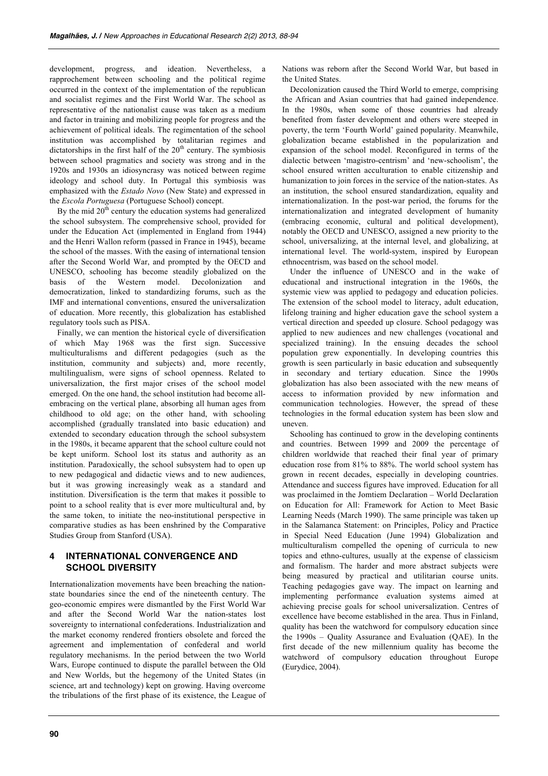development, progress, and ideation. Nevertheless, a rapprochement between schooling and the political regime occurred in the context of the implementation of the republican and socialist regimes and the First World War. The school as representative of the nationalist cause was taken as a medium and factor in training and mobilizing people for progress and the achievement of political ideals. The regimentation of the school institution was accomplished by totalitarian regimes and dictatorships in the first half of the  $20<sup>th</sup>$  century. The symbiosis between school pragmatics and society was strong and in the 1920s and 1930s an idiosyncrasy was noticed between regime ideology and school duty. In Portugal this symbiosis was emphasized with the *Estado Novo* (New State) and expressed in the *Escola Portuguesa* (Portuguese School) concept.

By the mid  $20<sup>th</sup>$  century the education systems had generalized the school subsystem. The comprehensive school, provided for under the Education Act (implemented in England from 1944) and the Henri Wallon reform (passed in France in 1945), became the school of the masses. With the easing of international tension after the Second World War, and prompted by the OECD and UNESCO, schooling has become steadily globalized on the basis of the Western model. Decolonization and democratization, linked to standardizing forums, such as the IMF and international conventions, ensured the universalization of education. More recently, this globalization has established regulatory tools such as PISA.

Finally, we can mention the historical cycle of diversification of which May 1968 was the first sign. Successive multiculturalisms and different pedagogies (such as the institution, community and subjects) and, more recently, multilingualism, were signs of school openness. Related to universalization, the first major crises of the school model emerged. On the one hand, the school institution had become allembracing on the vertical plane, absorbing all human ages from childhood to old age; on the other hand, with schooling accomplished (gradually translated into basic education) and extended to secondary education through the school subsystem in the 1980s, it became apparent that the school culture could not be kept uniform. School lost its status and authority as an institution. Paradoxically, the school subsystem had to open up to new pedagogical and didactic views and to new audiences, but it was growing increasingly weak as a standard and institution. Diversification is the term that makes it possible to point to a school reality that is ever more multicultural and, by the same token, to initiate the neo-institutional perspective in comparative studies as has been enshrined by the Comparative Studies Group from Stanford (USA).

## **4 INTERNATIONAL CONVERGENCE AND SCHOOL DIVERSITY**

Internationalization movements have been breaching the nationstate boundaries since the end of the nineteenth century. The geo-economic empires were dismantled by the First World War and after the Second World War the nation-states lost sovereignty to international confederations. Industrialization and the market economy rendered frontiers obsolete and forced the agreement and implementation of confederal and world regulatory mechanisms. In the period between the two World Wars, Europe continued to dispute the parallel between the Old and New Worlds, but the hegemony of the United States (in science, art and technology) kept on growing. Having overcome the tribulations of the first phase of its existence, the League of Nations was reborn after the Second World War, but based in the United States.

Decolonization caused the Third World to emerge, comprising the African and Asian countries that had gained independence. In the 1980s, when some of those countries had already benefited from faster development and others were steeped in poverty, the term 'Fourth World' gained popularity. Meanwhile, globalization became established in the popularization and expansion of the school model. Reconfigured in terms of the dialectic between 'magistro-centrism' and 'new-schoolism', the school ensured written acculturation to enable citizenship and humanization to join forces in the service of the nation-states. As an institution, the school ensured standardization, equality and internationalization. In the post-war period, the forums for the internationalization and integrated development of humanity (embracing economic, cultural and political development), notably the OECD and UNESCO, assigned a new priority to the school, universalizing, at the internal level, and globalizing, at international level. The world-system, inspired by European ethnocentrism, was based on the school model.

Under the influence of UNESCO and in the wake of educational and instructional integration in the 1960s, the systemic view was applied to pedagogy and education policies. The extension of the school model to literacy, adult education, lifelong training and higher education gave the school system a vertical direction and speeded up closure. School pedagogy was applied to new audiences and new challenges (vocational and specialized training). In the ensuing decades the school population grew exponentially. In developing countries this growth is seen particularly in basic education and subsequently in secondary and tertiary education. Since the 1990s globalization has also been associated with the new means of access to information provided by new information and communication technologies. However, the spread of these technologies in the formal education system has been slow and uneven.

Schooling has continued to grow in the developing continents and countries. Between 1999 and 2009 the percentage of children worldwide that reached their final year of primary education rose from 81% to 88%. The world school system has grown in recent decades, especially in developing countries. Attendance and success figures have improved. Education for all was proclaimed in the Jomtiem Declaration – World Declaration on Education for All: Framework for Action to Meet Basic Learning Needs (March 1990). The same principle was taken up in the Salamanca Statement: on Principles, Policy and Practice in Special Need Education (June 1994) Globalization and multiculturalism compelled the opening of curricula to new topics and ethno-cultures, usually at the expense of classicism and formalism. The harder and more abstract subjects were being measured by practical and utilitarian course units. Teaching pedagogies gave way. The impact on learning and implementing performance evaluation systems aimed at achieving precise goals for school universalization. Centres of excellence have become established in the area. Thus in Finland, quality has been the watchword for compulsory education since the 1990s – Quality Assurance and Evaluation (QAE). In the first decade of the new millennium quality has become the watchword of compulsory education throughout Europe (Eurydice, 2004).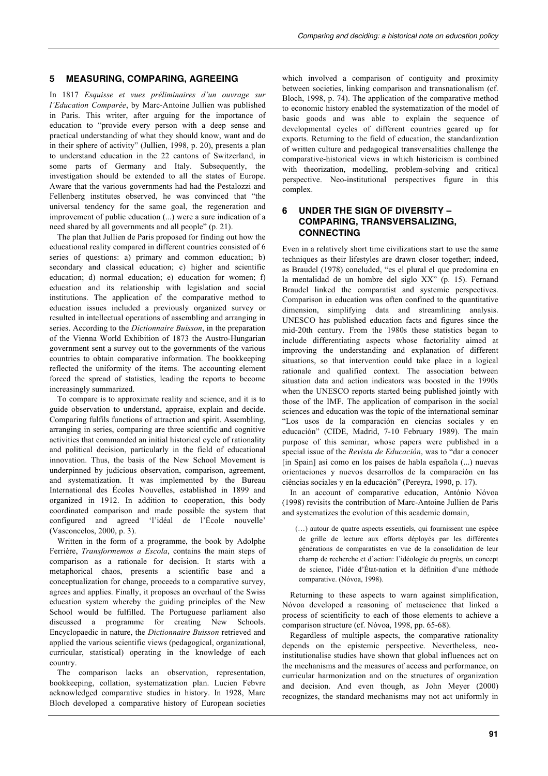## **5 MEASURING, COMPARING, AGREEING**

In 1817 *Esquisse et vues préliminaires d'un ouvrage sur l'Education Comparée*, by Marc-Antoine Jullien was published in Paris. This writer, after arguing for the importance of education to "provide every person with a deep sense and practical understanding of what they should know, want and do in their sphere of activity" (Jullien, 1998, p. 20), presents a plan to understand education in the 22 cantons of Switzerland, in some parts of Germany and Italy. Subsequently, the investigation should be extended to all the states of Europe. Aware that the various governments had had the Pestalozzi and Fellenberg institutes observed, he was convinced that "the universal tendency for the same goal, the regeneration and improvement of public education (...) were a sure indication of a need shared by all governments and all people" (p. 21).

The plan that Jullien de Paris proposed for finding out how the educational reality compared in different countries consisted of 6 series of questions: a) primary and common education; b) secondary and classical education; c) higher and scientific education; d) normal education; e) education for women; f) education and its relationship with legislation and social institutions. The application of the comparative method to education issues included a previously organized survey or resulted in intellectual operations of assembling and arranging in series. According to the *Dictionnaire Buisson*, in the preparation of the Vienna World Exhibition of 1873 the Austro-Hungarian government sent a survey out to the governments of the various countries to obtain comparative information. The bookkeeping reflected the uniformity of the items. The accounting element forced the spread of statistics, leading the reports to become increasingly summarized.

To compare is to approximate reality and science, and it is to guide observation to understand, appraise, explain and decide. Comparing fulfils functions of attraction and spirit. Assembling, arranging in series, comparing are three scientific and cognitive activities that commanded an initial historical cycle of rationality and political decision, particularly in the field of educational innovation. Thus, the basis of the New School Movement is underpinned by judicious observation, comparison, agreement, and systematization. It was implemented by the Bureau International des Écoles Nouvelles, established in 1899 and organized in 1912. In addition to cooperation, this body coordinated comparison and made possible the system that configured and agreed 'l'idéal de l'École nouvelle' (Vasconcelos, 2000, p. 3).

Written in the form of a programme, the book by Adolphe Ferrière, *Transformemos a Escola*, contains the main steps of comparison as a rationale for decision. It starts with a metaphorical chaos, presents a scientific base and a conceptualization for change, proceeds to a comparative survey, agrees and applies. Finally, it proposes an overhaul of the Swiss education system whereby the guiding principles of the New School would be fulfilled. The Portuguese parliament also discussed a programme for creating New Schools. Encyclopaedic in nature, the *Dictionnaire Buisson* retrieved and applied the various scientific views (pedagogical, organizational, curricular, statistical) operating in the knowledge of each country.

The comparison lacks an observation, representation, bookkeeping, collation, systematization plan. Lucien Febvre acknowledged comparative studies in history. In 1928, Marc Bloch developed a comparative history of European societies which involved a comparison of contiguity and proximity between societies, linking comparison and transnationalism (cf. Bloch, 1998, p. 74). The application of the comparative method to economic history enabled the systematization of the model of basic goods and was able to explain the sequence of developmental cycles of different countries geared up for exports. Returning to the field of education, the standardization of written culture and pedagogical transversalities challenge the comparative-historical views in which historicism is combined with theorization, modelling, problem-solving and critical perspective. Neo-institutional perspectives figure in this complex.

## **6 UNDER THE SIGN OF DIVERSITY – COMPARING, TRANSVERSALIZING, CONNECTING**

Even in a relatively short time civilizations start to use the same techniques as their lifestyles are drawn closer together; indeed, as Braudel (1978) concluded, "es el plural el que predomina en la mentalidad de un hombre del siglo XX" (p. 15). Fernand Braudel linked the comparatist and systemic perspectives. Comparison in education was often confined to the quantitative dimension, simplifying data and streamlining analysis. UNESCO has published education facts and figures since the mid-20th century. From the 1980s these statistics began to include differentiating aspects whose factoriality aimed at improving the understanding and explanation of different situations, so that intervention could take place in a logical rationale and qualified context. The association between situation data and action indicators was boosted in the 1990s when the UNESCO reports started being published jointly with those of the IMF. The application of comparison in the social sciences and education was the topic of the international seminar "Los usos de la comparación en ciencias sociales y en educación" (CIDE, Madrid, 7-10 February 1989). The main purpose of this seminar, whose papers were published in a special issue of the *Revista de Educación*, was to "dar a conocer [in Spain] así como en los países de habla española (...) nuevas orientaciones y nuevos desarrollos de la comparación en las ciências sociales y en la educación" (Pereyra, 1990, p. 17).

In an account of comparative education, António Nóvoa (1998) revisits the contribution of Marc-Antoine Jullien de Paris and systematizes the evolution of this academic domain,

(…) autour de quatre aspects essentiels, qui fournissent une espèce de grille de lecture aux efforts déployés par les différentes générations de comparatistes en vue de la consolidation de leur champ de recherche et d'action: l'idéologie du progrès, un concept de science, l'idée d'État-nation et la définition d'une méthode comparative. (Nóvoa, 1998).

Returning to these aspects to warn against simplification, Nóvoa developed a reasoning of metascience that linked a process of scientificity to each of those elements to achieve a comparison structure (cf. Nóvoa, 1998, pp. 65-68).

Regardless of multiple aspects, the comparative rationality depends on the epistemic perspective. Nevertheless, neoinstitutionalise studies have shown that global influences act on the mechanisms and the measures of access and performance, on curricular harmonization and on the structures of organization and decision. And even though, as John Meyer (2000) recognizes, the standard mechanisms may not act uniformly in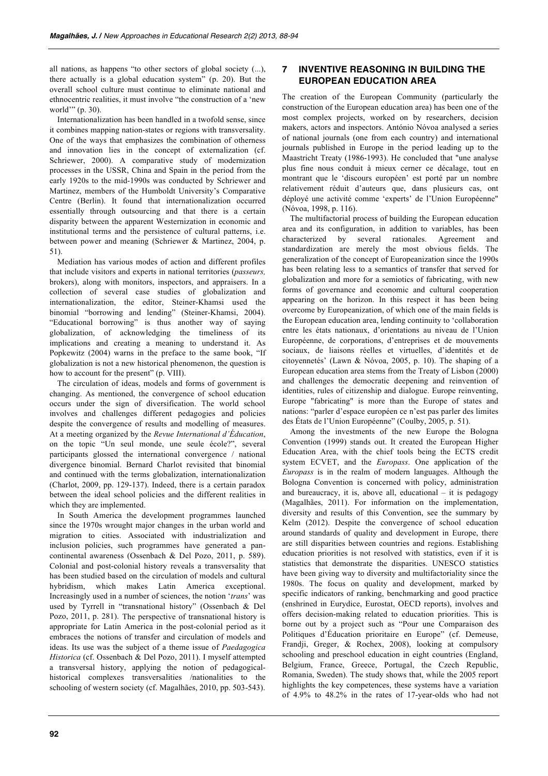all nations, as happens "to other sectors of global society (...), there actually is a global education system" (p. 20). But the overall school culture must continue to eliminate national and ethnocentric realities, it must involve "the construction of a 'new world'" (p. 30).

Internationalization has been handled in a twofold sense, since it combines mapping nation-states or regions with transversality. One of the ways that emphasizes the combination of otherness and innovation lies in the concept of externalization (cf. Schriewer, 2000). A comparative study of modernization processes in the USSR, China and Spain in the period from the early 1920s to the mid-1990s was conducted by Schriewer and Martinez, members of the Humboldt University's Comparative Centre (Berlin). It found that internationalization occurred essentially through outsourcing and that there is a certain disparity between the apparent Westernization in economic and institutional terms and the persistence of cultural patterns, i.e. between power and meaning (Schriewer & Martinez, 2004, p. 51).

Mediation has various modes of action and different profiles that include visitors and experts in national territories (*passeurs,*  brokers), along with monitors, inspectors, and appraisers. In a collection of several case studies of globalization and internationalization, the editor, Steiner-Khamsi used the binomial "borrowing and lending" (Steiner-Khamsi, 2004). "Educational borrowing" is thus another way of saying globalization, of acknowledging the timeliness of its implications and creating a meaning to understand it. As Popkewitz (2004) warns in the preface to the same book, "If globalization is not a new historical phenomenon, the question is how to account for the present" (p. VIII).

The circulation of ideas, models and forms of government is changing. As mentioned, the convergence of school education occurs under the sign of diversification. The world school involves and challenges different pedagogies and policies despite the convergence of results and modelling of measures. At a meeting organized by the *Revue International d'Éducation*, on the topic "Un seul monde, une seule école?", several participants glossed the international convergence / national divergence binomial. Bernard Charlot revisited that binomial and continued with the terms globalization, internationalization (Charlot, 2009, pp. 129-137). Indeed, there is a certain paradox between the ideal school policies and the different realities in which they are implemented.

In South America the development programmes launched since the 1970s wrought major changes in the urban world and migration to cities. Associated with industrialization and inclusion policies, such programmes have generated a pancontinental awareness (Ossenbach & Del Pozo, 2011, p. 589). Colonial and post-colonial history reveals a transversality that has been studied based on the circulation of models and cultural hybridism, which makes Latin America exceptional. Increasingly used in a number of sciences, the notion '*trans*' was used by Tyrrell in "transnational history" (Ossenbach & Del Pozo, 2011, p. 281). The perspective of transnational history is appropriate for Latin America in the post-colonial period as it embraces the notions of transfer and circulation of models and ideas. Its use was the subject of a theme issue of *Paedagogica Historica* (cf. Ossenbach & Del Pozo, 2011). I myself attempted a transversal history, applying the notion of pedagogicalhistorical complexes transversalities /nationalities to the schooling of western society (cf. Magalhães, 2010, pp. 503-543).

## **7 INVENTIVE REASONING IN BUILDING THE EUROPEAN EDUCATION AREA**

The creation of the European Community (particularly the construction of the European education area) has been one of the most complex projects, worked on by researchers, decision makers, actors and inspectors. António Nóvoa analysed a series of national journals (one from each country) and international journals published in Europe in the period leading up to the Maastricht Treaty (1986-1993). He concluded that "une analyse plus fine nous conduit à mieux cerner ce décalage, tout en montrant que le 'discours européen' est porté par un nombre relativement réduit d'auteurs que, dans plusieurs cas, ont déployé une activité comme 'experts' de l'Union Européenne" (Nóvoa, 1998, p. 116).

The multifactorial process of building the European education area and its configuration, in addition to variables, has been characterized by several rationales. Agreement and standardization are merely the most obvious fields. The generalization of the concept of Europeanization since the 1990s has been relating less to a semantics of transfer that served for globalization and more for a semiotics of fabricating, with new forms of governance and economic and cultural cooperation appearing on the horizon. In this respect it has been being overcome by Europeanization, of which one of the main fields is the European education area, lending continuity to 'collaboration entre les états nationaux, d'orientations au niveau de l'Union Européenne, de corporations, d'entreprises et de mouvements sociaux, de liaisons réelles et virtuelles, d'identités et de citoyennetés' (Lawn & Nóvoa, 2005, p. 10). The shaping of a European education area stems from the Treaty of Lisbon (2000) and challenges the democratic deepening and reinvention of identities, rules of citizenship and dialogue. Europe reinventing, Europe "fabricating" is more than the Europe of states and nations: "parler d'espace européen ce n'est pas parler des limites des États de l'Union Européenne" (Coulby, 2005, p. 51).

Among the investments of the new Europe the Bologna Convention (1999) stands out. It created the European Higher Education Area, with the chief tools being the ECTS credit system ECVET, and the *Europass*. One application of the *Europass* is in the realm of modern languages. Although the Bologna Convention is concerned with policy, administration and bureaucracy, it is, above all, educational – it is pedagogy (Magalhães, 2011). For information on the implementation, diversity and results of this Convention, see the summary by Kelm (2012). Despite the convergence of school education around standards of quality and development in Europe, there are still disparities between countries and regions. Establishing education priorities is not resolved with statistics, even if it is statistics that demonstrate the disparities. UNESCO statistics have been giving way to diversity and multifactoriality since the 1980s. The focus on quality and development, marked by specific indicators of ranking, benchmarking and good practice (enshrined in Eurydice, Eurostat, OECD reports), involves and offers decision-making related to education priorities. This is borne out by a project such as "Pour une Comparaison des Politiques d'Éducation prioritaire en Europe" (cf. Demeuse, Frandji, Greger, & Rochex, 2008), looking at compulsory schooling and preschool education in eight countries (England, Belgium, France, Greece, Portugal, the Czech Republic, Romania, Sweden). The study shows that, while the 2005 report highlights the key competences, these systems have a variation of 4.9% to 48.2% in the rates of 17-year-olds who had not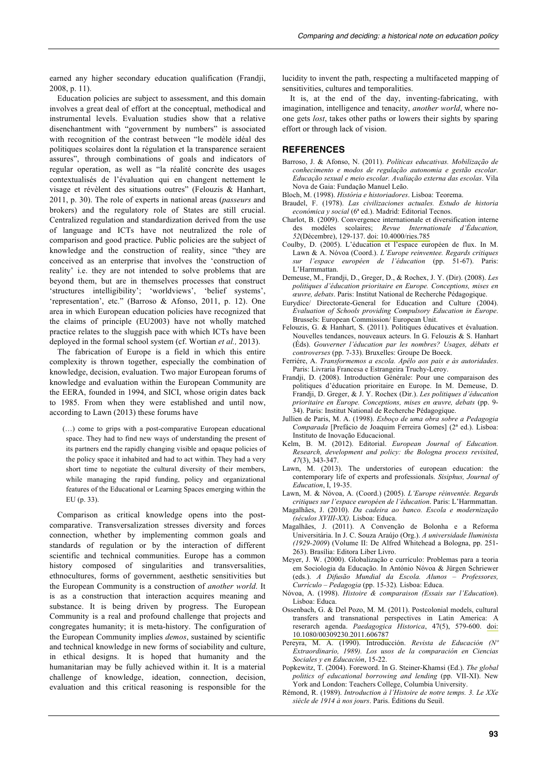earned any higher secondary education qualification (Frandji, 2008, p. 11).

Education policies are subject to assessment, and this domain involves a great deal of effort at the conceptual, methodical and instrumental levels. Evaluation studies show that a relative disenchantment with "government by numbers" is associated with recognition of the contrast between "le modèle idéal des politiques scolaires dont la régulation et la transparence seraient assures", through combinations of goals and indicators of regular operation, as well as "la réalité concrète des usages contextualisés de l'évaluation qui en changent nettement le visage et révèlent des situations outres" (Felouzis & Hanhart, 2011, p. 30). The role of experts in national areas (*passeurs* and brokers) and the regulatory role of States are still crucial. Centralized regulation and standardization derived from the use of language and ICTs have not neutralized the role of comparison and good practice. Public policies are the subject of knowledge and the construction of reality, since "they are conceived as an enterprise that involves the 'construction of reality' i.e. they are not intended to solve problems that are beyond them, but are in themselves processes that construct 'structures intelligibility'; 'worldviews', 'belief systems', 'representation', etc." (Barroso & Afonso, 2011, p. 12). One area in which European education policies have recognized that the claims of principle (EU2003) have not wholly matched practice relates to the sluggish pace with which ICTs have been deployed in the formal school system (cf. Wortian *et al.,* 2013).

The fabrication of Europe is a field in which this entire complexity is thrown together, especially the combination of knowledge, decision, evaluation. Two major European forums of knowledge and evaluation within the European Community are the EERA, founded in 1994, and SICI, whose origin dates back to 1985. From when they were established and until now, according to Lawn (2013) these forums have

(…) come to grips with a post-comparative European educational space. They had to find new ways of understanding the present of its partners end the rapidly changing visible and opaque policies of the policy space it inhabited and had to act within. They had a very short time to negotiate the cultural diversity of their members, while managing the rapid funding, policy and organizational features of the Educational or Learning Spaces emerging within the EU (p. 33).

Comparison as critical knowledge opens into the postcomparative. Transversalization stresses diversity and forces connection, whether by implementing common goals and standards of regulation or by the interaction of different scientific and technical communities. Europe has a common history composed of singularities and transversalities, ethnocultures, forms of government, aesthetic sensitivities but the European Community is a construction of *another world*. It is as a construction that interaction acquires meaning and substance. It is being driven by progress. The European Community is a real and profound challenge that projects and congregates humanity; it is meta-history. The configuration of the European Community implies *demos*, sustained by scientific and technical knowledge in new forms of sociability and culture, in ethical designs. It is hoped that humanity and the humanitarian may be fully achieved within it. It is a material challenge of knowledge, ideation, connection, decision, evaluation and this critical reasoning is responsible for the

lucidity to invent the path, respecting a multifaceted mapping of sensitivities, cultures and temporalities.

It is, at the end of the day, inventing-fabricating, with imagination, intelligence and tenacity, *another world*, where noone gets *lost*, takes other paths or lowers their sights by sparing effort or through lack of vision.

#### **REFERENCES**

- Barroso, J. & Afonso, N. (2011). *Políticas educativas. Mobilização de conhecimento e modos de regulação autonomia e gestão escolar. Educação sexual e meio escolar. Avaliação externa das escolas*. Vila Nova de Gaia: Fundação Manuel Leão.
- Bloch, M. (1998). *História e historiadores*. Lisboa: Teorema.
- Braudel, F. (1978). *Las civilizaciones actuales. Estudo de historia económica y social* (6ª ed.). Madrid: Editorial Tecnos.
- Charlot, B. (2009). Convergence internationale et diversification interne des modèles scolaires; *Revue Internationale d'Éducation, 52*(Décembre), 129-137. [doi: 10.4000/ries.785](http://dx.doi.org/10.4000/ries.785)
- Coulby, D. (2005). L'éducation et l'espace européen de flux. In M. Lawn & A. Nóvoa (Coord.). *L'Europe reinventee. Regards critiques sur l'espace européen de l'éducation* (pp. 51-67). Paris: L'Harmmattan.
- Demeuse, M., Frandji, D., Greger, D., & Rochex, J. Y. (Dir). (2008). *Les politiques d'éducation prioritaire en Europe. Conceptions, mises en œuvre, debats*. Paris: Institut National de Recherche Pédagogique.
- Eurydice/ Directorate-General for Education and Culture (2004). *Evaluation of Schools providing Compulsory Education in Europe*. Brussels: European Commission/ European Unit.
- Felouzis, G. & Hanhart, S. (2011). Politiques éducatives et évaluation. Nouvelles tendances, nouveaux acteurs. In G. Felouzis & S. Hanhart (Éds). *Gouverner l'éducation par les nombres? Usages, débats et controverses* (pp. 7-33). Bruxelles: Groupe De Boeck.
- Ferriére, A. *Transformemos a escola. Apêlo aos pais e às autoridades*. Paris: Livraria Francesa e Estrangeira Truchy-Leroy.
- Frandji, D. (2008). Introduction Générale: Pour une comparaison des politiques d'éducation prioritaire en Europe. In M. Demeuse, D. Frandji, D. Greger, & J. Y. Rochex (Dir.). *Les politiques d'éducation prioritaire en Europe. Conceptions, mises en œuvre, debats* (pp. 9- 34). Paris: Institut National de Recherche Pédagogique.
- Jullien de Paris, M. A. (1998). *Esboço de uma obra sobre a Pedagogia Comparada* [Prefácio de Joaquim Ferreira Gomes] (2ª ed.). Lisboa: Instituto de Inovação Educacional.
- Kelm, B. M. (2012). Editorial. *European Journal of Education. Research, development and policy: the Bologna process revisited*, *47*(3), 343-347.
- Lawn, M. (2013). The understories of european education: the contemporary life of experts and professionals. *Sisiphus, Journal of Education*, I, 19-35.
- Lawn, M. & Nóvoa, A. (Coord.) (2005). *L'Europe réinventée. Regards*
- *critiques sur l'espace européen de l'éducation*. Paris: L'Harmmattan. Magalhães, J. (2010). *Da cadeira ao banco. Escola e modernização (séculos XVIII-XX).* Lisboa: Educa.
- Magalhães, J. (2011). A Convenção de Bolonha e a Reforma Universitária. In J. C. Souza Araújo (Org.). *A universidade Iluminista (1929-2009*) (Volume II: De Alfred Whitehead a Bologna, pp. 251- 263). Brasília: Editora Liber Livro.
- Meyer, J. W. (2000). Globalização e currículo: Problemas para a teoria em Sociologia da Educação. In António Nóvoa & Jürgen Schriewer (eds.). *A Difusão Mundial da Escola. Alunos – Professores, Currículo – Pedagogia* (pp. 15-32)*.* Lisboa: Educa.
- Nóvoa, A. (1998). *Histoire & comparaison (Essais sur l'Education*). Lisboa: Educa.
- Ossenbach, G. & Del Pozo, M. M. (2011). Postcolonial models, cultural transfers and transnational perspectives in Latin America: A reserarch agenda. *Paedagogica Historica*, 47(5), 579-600. [doi:](http://dx.doi.org/10.1080/00309230.2011.606787) [10.1080/00309230.2011.606787](http://dx.doi.org/10.1080/00309230.2011.606787)
- Pereyra, M. A. (1990). Introducción. *Revista de Educación (Nº Extraordinario, 1989). Los usos de la comparación en Ciencias Sociales y en Educación*, 15-22.
- Popkewitz, T. (2004). Foreword. In G. Steiner-Khamsi (Ed.). *The global politics of educational borrowing and lending* (pp. VII-XI). New York and London: Teachers College, Columbia University.
- Rémond, R. (1989). *Introduction à l'Histoire de notre temps. 3. Le XXe siècle de 1914 à nos jours*. Paris. Éditions du Seuil.